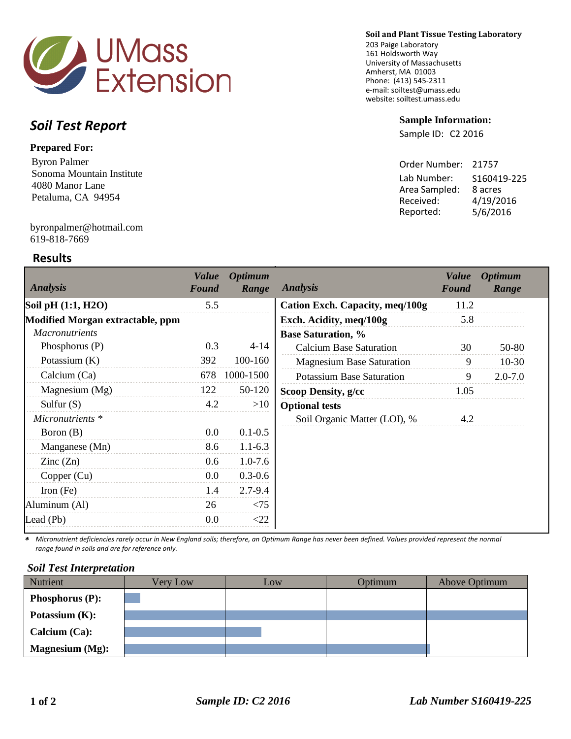

#### **Soil and Plant Tissue Testing Laboratory**

203 Paige Laboratory 161 Holdsworth Way University of Massachusetts Amherst, MA 01003 Phone: (413) 545-2311 e-mail: soiltest@umass.edu website: soiltest.umass.edu

#### **Sample Information:**

Sample ID: C2 2016

| Order Number: | 21757       |
|---------------|-------------|
| Lab Number:   | S160419-225 |
| Area Sampled: | 8 acres     |
| Received:     | 4/19/2016   |
| Reported:     | 5/6/2016    |
|               |             |

# *Soil Test Report*

## **Prepared For:**

Byron Palmer Sonoma Mountain Institute 4080 Manor Lane Petaluma, CA 94954

#### 619-818-7669 byronpalmer@hotmail.com

## **Results**

| Analysis                         | <b>Value</b><br>Found | <b>Optimum</b><br>Range | <b>Analysis</b>                  | <b>Value</b><br>Found | <b>Optimum</b><br>Range |
|----------------------------------|-----------------------|-------------------------|----------------------------------|-----------------------|-------------------------|
| Soil pH (1:1, H2O)               | 5.5                   |                         | Cation Exch. Capacity, meq/100g  | 11.2                  |                         |
| Modified Morgan extractable, ppm |                       |                         | Exch. Acidity, meq/100g          | 5.8                   |                         |
| <i>Macronutrients</i>            |                       |                         | <b>Base Saturation, %</b>        |                       |                         |
| Phosphorus $(P)$                 | 0.3                   | $4 - 14$                | <b>Calcium Base Saturation</b>   | 30                    | 50-80                   |
| Potassium $(K)$                  | 392                   | 100-160                 | <b>Magnesium Base Saturation</b> | 9                     | $10-30$                 |
| Calcium (Ca)                     | 678                   | 1000-1500               | <b>Potassium Base Saturation</b> | 9                     | $2.0 - 7.0$             |
| Magnesium (Mg)                   | 122                   | 50-120                  | <b>Scoop Density, g/cc</b>       | 1.05                  |                         |
| Sulfur $(S)$                     | 4.2                   | >10                     | <b>Optional tests</b>            |                       |                         |
| Micronutrients *                 |                       |                         | Soil Organic Matter (LOI), %     | 4.2                   |                         |
| Boron (B)                        | 0.0                   | $0.1 - 0.5$             |                                  |                       |                         |
| Manganese (Mn)                   | 8.6                   | $1.1 - 6.3$             |                                  |                       |                         |
| $\text{Zinc}(\text{Zn})$         | 0.6                   | $1.0 - 7.6$             |                                  |                       |                         |
| Copper (Cu)                      | 0.0                   | $0.3 - 0.6$             |                                  |                       |                         |
| Iron $(Fe)$                      | 1.4                   | $2.7 - 9.4$             |                                  |                       |                         |
| Aluminum (Al)                    | 26                    | < 75                    |                                  |                       |                         |
| Lead (Pb)                        | 0.0                   | $<$ 22                  |                                  |                       |                         |

*\* Micronutrient deficiencies rarely occur in New England soils; therefore, an Optimum Range has never been defined. Values provided represent the normal range found in soils and are for reference only.* 

#### *Soil Test Interpretation*

| Nutrient               | Very Low | Low | Optimum | Above Optimum |
|------------------------|----------|-----|---------|---------------|
| <b>Phosphorus (P):</b> |          |     |         |               |
| Potassium $(K)$ :      |          |     |         |               |
| Calcium $(Ca)$ :       |          |     |         |               |
| <b>Magnesium</b> (Mg): |          |     |         |               |